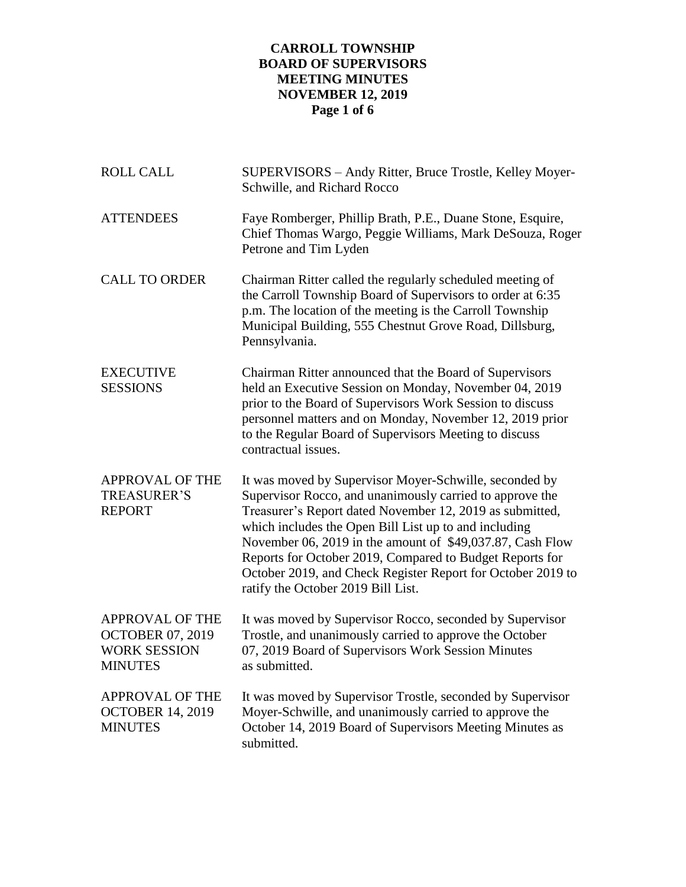# **CARROLL TOWNSHIP BOARD OF SUPERVISORS MEETING MINUTES NOVEMBER 12, 2019 Page 1 of 6**

| <b>ROLL CALL</b>                                                                           | SUPERVISORS - Andy Ritter, Bruce Trostle, Kelley Moyer-<br>Schwille, and Richard Rocco                                                                                                                                                                                                                                                                                                                                                                                |
|--------------------------------------------------------------------------------------------|-----------------------------------------------------------------------------------------------------------------------------------------------------------------------------------------------------------------------------------------------------------------------------------------------------------------------------------------------------------------------------------------------------------------------------------------------------------------------|
| <b>ATTENDEES</b>                                                                           | Faye Romberger, Phillip Brath, P.E., Duane Stone, Esquire,<br>Chief Thomas Wargo, Peggie Williams, Mark DeSouza, Roger<br>Petrone and Tim Lyden                                                                                                                                                                                                                                                                                                                       |
| <b>CALL TO ORDER</b>                                                                       | Chairman Ritter called the regularly scheduled meeting of<br>the Carroll Township Board of Supervisors to order at 6:35<br>p.m. The location of the meeting is the Carroll Township<br>Municipal Building, 555 Chestnut Grove Road, Dillsburg,<br>Pennsylvania.                                                                                                                                                                                                       |
| <b>EXECUTIVE</b><br><b>SESSIONS</b>                                                        | Chairman Ritter announced that the Board of Supervisors<br>held an Executive Session on Monday, November 04, 2019<br>prior to the Board of Supervisors Work Session to discuss<br>personnel matters and on Monday, November 12, 2019 prior<br>to the Regular Board of Supervisors Meeting to discuss<br>contractual issues.                                                                                                                                           |
| <b>APPROVAL OF THE</b><br><b>TREASURER'S</b><br><b>REPORT</b>                              | It was moved by Supervisor Moyer-Schwille, seconded by<br>Supervisor Rocco, and unanimously carried to approve the<br>Treasurer's Report dated November 12, 2019 as submitted,<br>which includes the Open Bill List up to and including<br>November 06, 2019 in the amount of \$49,037.87, Cash Flow<br>Reports for October 2019, Compared to Budget Reports for<br>October 2019, and Check Register Report for October 2019 to<br>ratify the October 2019 Bill List. |
| <b>APPROVAL OF THE</b><br><b>OCTOBER 07, 2019</b><br><b>WORK SESSION</b><br><b>MINUTES</b> | It was moved by Supervisor Rocco, seconded by Supervisor<br>Trostle, and unanimously carried to approve the October<br>07, 2019 Board of Supervisors Work Session Minutes<br>as submitted.                                                                                                                                                                                                                                                                            |
| <b>APPROVAL OF THE</b><br><b>OCTOBER 14, 2019</b><br><b>MINUTES</b>                        | It was moved by Supervisor Trostle, seconded by Supervisor<br>Moyer-Schwille, and unanimously carried to approve the<br>October 14, 2019 Board of Supervisors Meeting Minutes as<br>submitted.                                                                                                                                                                                                                                                                        |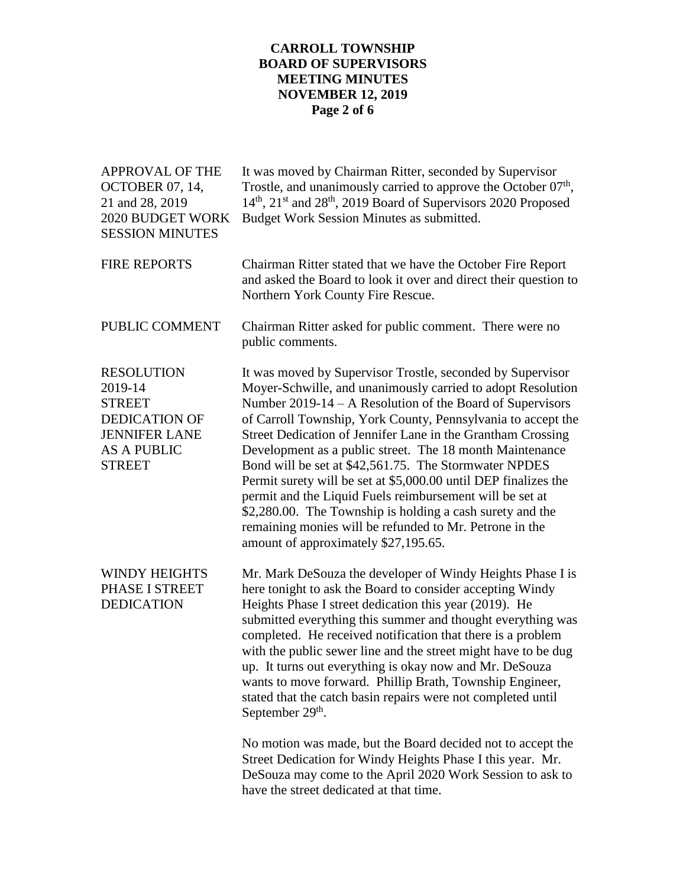## **CARROLL TOWNSHIP BOARD OF SUPERVISORS MEETING MINUTES NOVEMBER 12, 2019 Page 2 of 6**

| <b>APPROVAL OF THE</b><br><b>OCTOBER 07, 14,</b><br>21 and 28, 2019<br>2020 BUDGET WORK<br><b>SESSION MINUTES</b>                    | It was moved by Chairman Ritter, seconded by Supervisor<br>Trostle, and unanimously carried to approve the October $07th$ ,<br>14 <sup>th</sup> , 21 <sup>st</sup> and 28 <sup>th</sup> , 2019 Board of Supervisors 2020 Proposed<br>Budget Work Session Minutes as submitted.                                                                                                                                                                                                                                                                                                                                                                                                                                                              |
|--------------------------------------------------------------------------------------------------------------------------------------|---------------------------------------------------------------------------------------------------------------------------------------------------------------------------------------------------------------------------------------------------------------------------------------------------------------------------------------------------------------------------------------------------------------------------------------------------------------------------------------------------------------------------------------------------------------------------------------------------------------------------------------------------------------------------------------------------------------------------------------------|
| <b>FIRE REPORTS</b>                                                                                                                  | Chairman Ritter stated that we have the October Fire Report<br>and asked the Board to look it over and direct their question to<br>Northern York County Fire Rescue.                                                                                                                                                                                                                                                                                                                                                                                                                                                                                                                                                                        |
| PUBLIC COMMENT                                                                                                                       | Chairman Ritter asked for public comment. There were no<br>public comments.                                                                                                                                                                                                                                                                                                                                                                                                                                                                                                                                                                                                                                                                 |
| <b>RESOLUTION</b><br>2019-14<br><b>STREET</b><br><b>DEDICATION OF</b><br><b>JENNIFER LANE</b><br><b>AS A PUBLIC</b><br><b>STREET</b> | It was moved by Supervisor Trostle, seconded by Supervisor<br>Moyer-Schwille, and unanimously carried to adopt Resolution<br>Number $2019-14 - A$ Resolution of the Board of Supervisors<br>of Carroll Township, York County, Pennsylvania to accept the<br>Street Dedication of Jennifer Lane in the Grantham Crossing<br>Development as a public street. The 18 month Maintenance<br>Bond will be set at \$42,561.75. The Stormwater NPDES<br>Permit surety will be set at \$5,000.00 until DEP finalizes the<br>permit and the Liquid Fuels reimbursement will be set at<br>\$2,280.00. The Township is holding a cash surety and the<br>remaining monies will be refunded to Mr. Petrone in the<br>amount of approximately \$27,195.65. |
| <b>WINDY HEIGHTS</b><br>PHASE I STREET<br><b>DEDICATION</b>                                                                          | Mr. Mark DeSouza the developer of Windy Heights Phase I is<br>here tonight to ask the Board to consider accepting Windy<br>Heights Phase I street dedication this year (2019). He<br>submitted everything this summer and thought everything was<br>completed. He received notification that there is a problem<br>with the public sewer line and the street might have to be dug<br>up. It turns out everything is okay now and Mr. DeSouza<br>wants to move forward. Phillip Brath, Township Engineer,<br>stated that the catch basin repairs were not completed until<br>September 29 <sup>th</sup> .                                                                                                                                    |
|                                                                                                                                      | No motion was made, but the Board decided not to accept the<br>Street Dedication for Windy Heights Phase I this year. Mr.<br>DeSouza may come to the April 2020 Work Session to ask to<br>have the street dedicated at that time.                                                                                                                                                                                                                                                                                                                                                                                                                                                                                                           |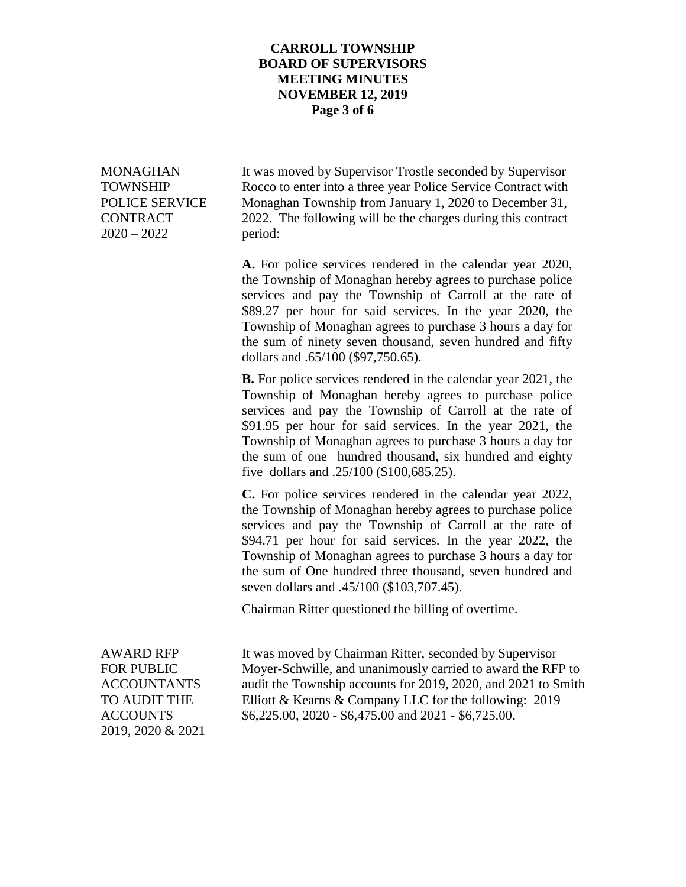#### **CARROLL TOWNSHIP BOARD OF SUPERVISORS MEETING MINUTES NOVEMBER 12, 2019 Page 3 of 6**

2020 – 2022 period:

MONAGHAN It was moved by Supervisor Trostle seconded by Supervisor TOWNSHIP Rocco to enter into a three year Police Service Contract with POLICE SERVICE Monaghan Township from January 1, 2020 to December 31, CONTRACT 2022. The following will be the charges during this contract

> **A.** For police services rendered in the calendar year 2020, the Township of Monaghan hereby agrees to purchase police services and pay the Township of Carroll at the rate of \$89.27 per hour for said services. In the year 2020, the Township of Monaghan agrees to purchase 3 hours a day for the sum of ninety seven thousand, seven hundred and fifty dollars and .65/100 (\$97,750.65).

> **B.** For police services rendered in the calendar year 2021, the Township of Monaghan hereby agrees to purchase police services and pay the Township of Carroll at the rate of \$91.95 per hour for said services. In the year 2021, the Township of Monaghan agrees to purchase 3 hours a day for the sum of one hundred thousand, six hundred and eighty five dollars and .25/100 (\$100,685.25).

> **C.** For police services rendered in the calendar year 2022, the Township of Monaghan hereby agrees to purchase police services and pay the Township of Carroll at the rate of \$94.71 per hour for said services. In the year 2022, the Township of Monaghan agrees to purchase 3 hours a day for the sum of One hundred three thousand, seven hundred and seven dollars and .45/100 (\$103,707.45).

Chairman Ritter questioned the billing of overtime.

2019, 2020 & 2021

AWARD RFP It was moved by Chairman Ritter, seconded by Supervisor FOR PUBLIC Moyer-Schwille, and unanimously carried to award the RFP to ACCOUNTANTS audit the Township accounts for 2019, 2020, and 2021 to Smith TO AUDIT THE Elliott & Kearns & Company LLC for the following:  $2019 -$ ACCOUNTS \$6,225.00, 2020 - \$6,475.00 and 2021 - \$6,725.00.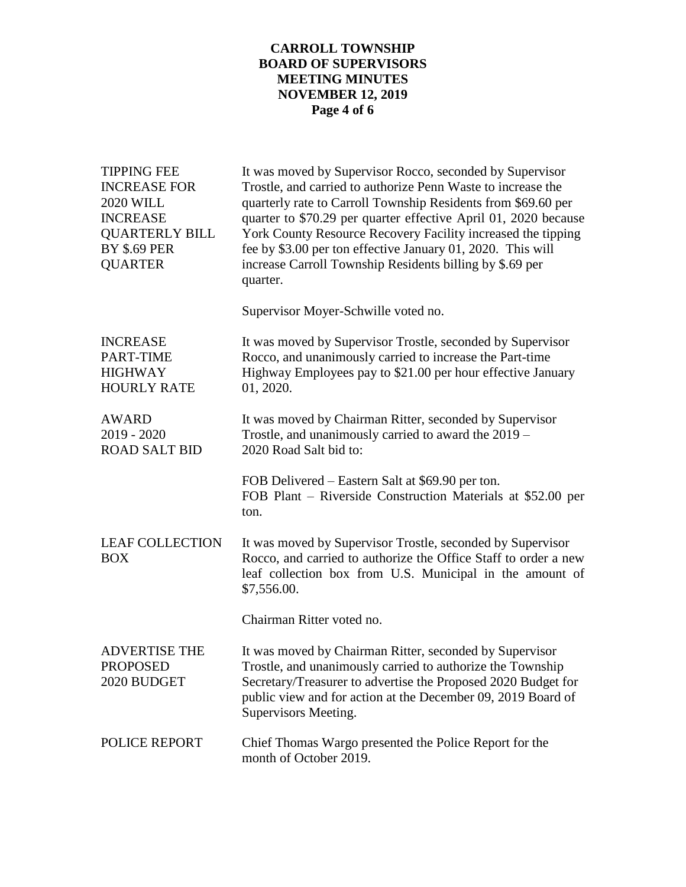# **CARROLL TOWNSHIP BOARD OF SUPERVISORS MEETING MINUTES NOVEMBER 12, 2019 Page 4 of 6**

| <b>TIPPING FEE</b><br><b>INCREASE FOR</b><br><b>2020 WILL</b><br><b>INCREASE</b><br><b>QUARTERLY BILL</b><br><b>BY \$.69 PER</b><br><b>QUARTER</b> | It was moved by Supervisor Rocco, seconded by Supervisor<br>Trostle, and carried to authorize Penn Waste to increase the<br>quarterly rate to Carroll Township Residents from \$69.60 per<br>quarter to \$70.29 per quarter effective April 01, 2020 because<br>York County Resource Recovery Facility increased the tipping<br>fee by \$3.00 per ton effective January 01, 2020. This will<br>increase Carroll Township Residents billing by \$.69 per<br>quarter. |
|----------------------------------------------------------------------------------------------------------------------------------------------------|---------------------------------------------------------------------------------------------------------------------------------------------------------------------------------------------------------------------------------------------------------------------------------------------------------------------------------------------------------------------------------------------------------------------------------------------------------------------|
|                                                                                                                                                    | Supervisor Moyer-Schwille voted no.                                                                                                                                                                                                                                                                                                                                                                                                                                 |
| <b>INCREASE</b><br>PART-TIME<br><b>HIGHWAY</b><br><b>HOURLY RATE</b>                                                                               | It was moved by Supervisor Trostle, seconded by Supervisor<br>Rocco, and unanimously carried to increase the Part-time<br>Highway Employees pay to \$21.00 per hour effective January<br>01, 2020.                                                                                                                                                                                                                                                                  |
| <b>AWARD</b><br>$2019 - 2020$<br><b>ROAD SALT BID</b>                                                                                              | It was moved by Chairman Ritter, seconded by Supervisor<br>Trostle, and unanimously carried to award the 2019 –<br>2020 Road Salt bid to:                                                                                                                                                                                                                                                                                                                           |
|                                                                                                                                                    | FOB Delivered – Eastern Salt at \$69.90 per ton.<br>FOB Plant – Riverside Construction Materials at \$52.00 per<br>ton.                                                                                                                                                                                                                                                                                                                                             |
| <b>LEAF COLLECTION</b><br>BOX                                                                                                                      | It was moved by Supervisor Trostle, seconded by Supervisor<br>Rocco, and carried to authorize the Office Staff to order a new<br>leaf collection box from U.S. Municipal in the amount of<br>\$7,556.00.                                                                                                                                                                                                                                                            |
|                                                                                                                                                    | Chairman Ritter voted no.                                                                                                                                                                                                                                                                                                                                                                                                                                           |
| <b>ADVERTISE THE</b><br><b>PROPOSED</b><br>2020 BUDGET                                                                                             | It was moved by Chairman Ritter, seconded by Supervisor<br>Trostle, and unanimously carried to authorize the Township<br>Secretary/Treasurer to advertise the Proposed 2020 Budget for<br>public view and for action at the December 09, 2019 Board of<br>Supervisors Meeting.                                                                                                                                                                                      |
| POLICE REPORT                                                                                                                                      | Chief Thomas Wargo presented the Police Report for the<br>month of October 2019.                                                                                                                                                                                                                                                                                                                                                                                    |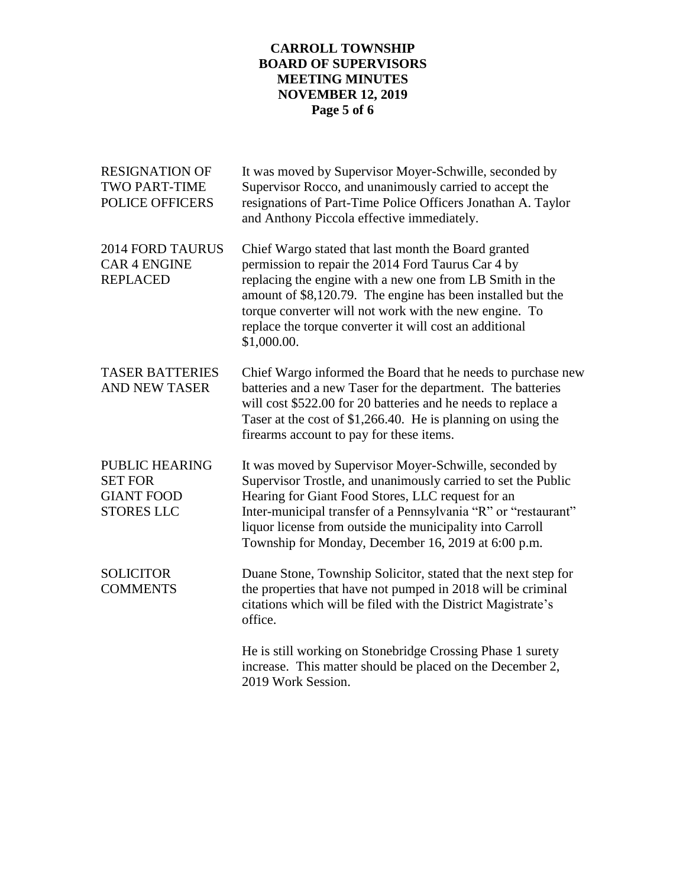# **CARROLL TOWNSHIP BOARD OF SUPERVISORS MEETING MINUTES NOVEMBER 12, 2019 Page 5 of 6**

| <b>RESIGNATION OF</b><br><b>TWO PART-TIME</b><br>POLICE OFFICERS                  | It was moved by Supervisor Moyer-Schwille, seconded by<br>Supervisor Rocco, and unanimously carried to accept the<br>resignations of Part-Time Police Officers Jonathan A. Taylor<br>and Anthony Piccola effective immediately.                                                                                                                                           |
|-----------------------------------------------------------------------------------|---------------------------------------------------------------------------------------------------------------------------------------------------------------------------------------------------------------------------------------------------------------------------------------------------------------------------------------------------------------------------|
| <b>2014 FORD TAURUS</b><br><b>CAR 4 ENGINE</b><br><b>REPLACED</b>                 | Chief Wargo stated that last month the Board granted<br>permission to repair the 2014 Ford Taurus Car 4 by<br>replacing the engine with a new one from LB Smith in the<br>amount of \$8,120.79. The engine has been installed but the<br>torque converter will not work with the new engine. To<br>replace the torque converter it will cost an additional<br>\$1,000.00. |
| <b>TASER BATTERIES</b><br><b>AND NEW TASER</b>                                    | Chief Wargo informed the Board that he needs to purchase new<br>batteries and a new Taser for the department. The batteries<br>will cost \$522.00 for 20 batteries and he needs to replace a<br>Taser at the cost of \$1,266.40. He is planning on using the<br>firearms account to pay for these items.                                                                  |
| <b>PUBLIC HEARING</b><br><b>SET FOR</b><br><b>GIANT FOOD</b><br><b>STORES LLC</b> | It was moved by Supervisor Moyer-Schwille, seconded by<br>Supervisor Trostle, and unanimously carried to set the Public<br>Hearing for Giant Food Stores, LLC request for an<br>Inter-municipal transfer of a Pennsylvania "R" or "restaurant"<br>liquor license from outside the municipality into Carroll<br>Township for Monday, December 16, 2019 at 6:00 p.m.        |
| <b>SOLICITOR</b><br><b>COMMENTS</b>                                               | Duane Stone, Township Solicitor, stated that the next step for<br>the properties that have not pumped in 2018 will be criminal<br>citations which will be filed with the District Magistrate's<br>office.                                                                                                                                                                 |
|                                                                                   | He is still working on Stonebridge Crossing Phase 1 surety<br>increase. This matter should be placed on the December 2,<br>2019 Work Session.                                                                                                                                                                                                                             |